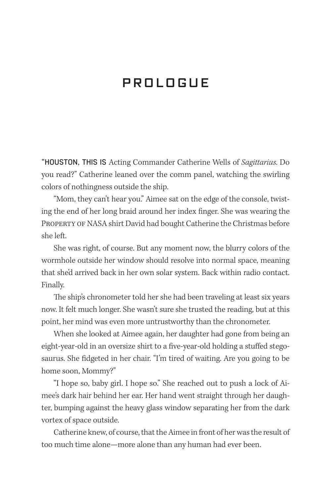## **PROLOGUE**

"HOUSTON, THIS IS Acting Commander Catherine Wells of *Sagittarius*. Do you read?" Catherine leaned over the comm panel, watching the swirling colors of nothingness outside the ship.

"Mom, they can't hear you." Aimee sat on the edge of the console, twisting the end of her long braid around her index finger. She was wearing the PROPERTY OF NASA shirt David had bought Catherine the Christmas before she left.

She was right, of course. But any moment now, the blurry colors of the wormhole outside her window should resolve into normal space, meaning that she'd arrived back in her own solar system. Back within radio contact. Finally.

The ship's chronometer told her she had been traveling at least six years now. It felt much longer. She wasn't sure she trusted the reading, but at this point, her mind was even more untrustworthy than the chronometer.

When she looked at Aimee again, her daughter had gone from being an eight-year-old in an oversize shirt to a five-year-old holding a stuffed stegosaurus. She fidgeted in her chair. "I'm tired of waiting. Are you going to be home soon, Mommy?"

"I hope so, baby girl. I hope so." She reached out to push a lock of Aimee's dark hair behind her ear. Her hand went straight through her daughter, bumping against the heavy glass window separating her from the dark vortex of space outside.

Catherine knew, of course, that the Aimee in front of her was the result of too much time alone—more alone than any human had ever been.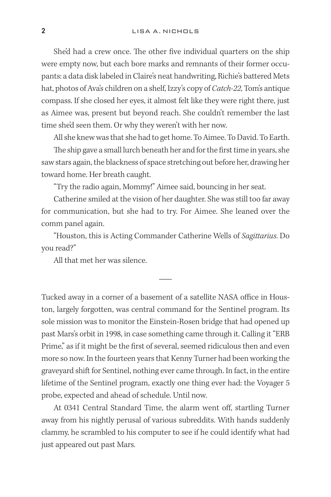She'd had a crew once. The other five individual quarters on the ship were empty now, but each bore marks and remnants of their former occupants: a data disk labeled in Claire's neat handwriting, Richie's battered Mets hat, photos of Ava's children on a shelf, Izzy's copy of *Catch-22*, Tom's antique compass. If she closed her eyes, it almost felt like they were right there, just as Aimee was, present but beyond reach. She couldn't remember the last time she'd seen them. Or why they weren't with her now.

All she knew was that she had to get home. To Aimee. To David. To Earth.

The ship gave a small lurch beneath her and for the first time in years, she saw stars again, the blackness of space stretching out before her, drawing her toward home. Her breath caught.

"Try the radio again, Mommy!" Aimee said, bouncing in her seat.

Catherine smiled at the vision of her daughter. She was still too far away for communication, but she had to try. For Aimee. She leaned over the comm panel again.

"Houston, this is Acting Commander Catherine Wells of *Sagittarius*. Do you read?"

——

All that met her was silence.

Tucked away in a corner of a basement of a satellite NASA office in Houston, largely forgotten, was central command for the Sentinel program. Its sole mission was to monitor the Einstein-Rosen bridge that had opened up past Mars's orbit in 1998, in case something came through it. Calling it "ERB Prime," as if it might be the first of several, seemed ridiculous then and even more so now. In the fourteen years that Kenny Turner had been working the graveyard shift for Sentinel, nothing ever came through. In fact, in the entire lifetime of the Sentinel program, exactly one thing ever had: the Voyager 5 probe, expected and ahead of schedule. Until now.

At 0341 Central Standard Time, the alarm went off, startling Turner away from his nightly perusal of various subreddits. With hands suddenly clammy, he scrambled to his computer to see if he could identify what had just appeared out past Mars.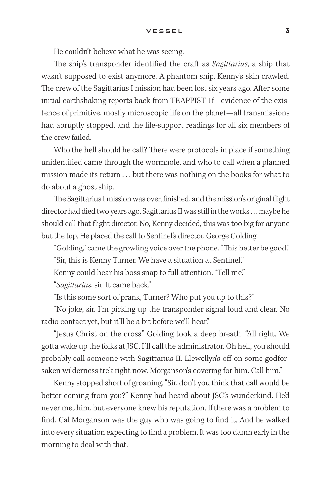He couldn't believe what he was seeing.

The ship's transponder identified the craft as *Sagittarius*, a ship that wasn't supposed to exist anymore. A phantom ship. Kenny's skin crawled. The crew of the Sagittarius I mission had been lost six years ago. After some initial earthshaking reports back from TRAPPIST-1f—evidence of the existence of primitive, mostly microscopic life on the planet—all transmissions had abruptly stopped, and the life-support readings for all six members of the crew failed.

Who the hell should he call? There were protocols in place if something unidentified came through the wormhole, and who to call when a planned mission made its return . . . but there was nothing on the books for what to do about a ghost ship.

The Sagittarius I mission was over, finished, and the mission's original flight director had died two years ago. Sagittarius II was still in the works . . . maybe he should call that flight director. No, Kenny decided, this was too big for anyone but the top. He placed the call to Sentinel's director, George Golding.

"Golding," came the growling voice over the phone. "This better be good." "Sir, this is Kenny Turner. We have a situation at Sentinel."

Kenny could hear his boss snap to full attention. "Tell me."

"*Sagittarius*, sir. It came back."

"Is this some sort of prank, Turner? Who put you up to this?"

"No joke, sir. I'm picking up the transponder signal loud and clear. No radio contact yet, but it'll be a bit before we'll hear."

"Jesus Christ on the cross." Golding took a deep breath. "All right. We gotta wake up the folks at JSC. I'll call the administrator. Oh hell, you should probably call someone with Sagittarius II. Llewellyn's off on some godforsaken wilderness trek right now. Morganson's covering for him. Call him."

Kenny stopped short of groaning. "Sir, don't you think that call would be better coming from you?" Kenny had heard about JSC's wunderkind. He'd never met him, but everyone knew his reputation. If there was a problem to find, Cal Morganson was the guy who was going to find it. And he walked into every situation expecting to find a problem. It was too damn early in the morning to deal with that.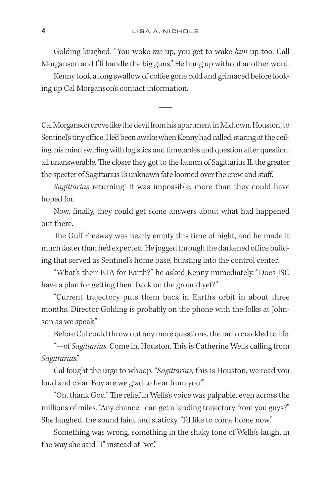Golding laughed. "You woke *me* up, you get to wake *him* up too. Call Morganson and I'll handle the big guns." He hung up without another word.

Kenny took a long swallow of coffee gone cold and grimaced before looking up Cal Morganson's contact information.

——

Cal Morganson drove like the devil from his apartment in Midtown, Houston, to Sentinel's tiny office. He'd been awake when Kenny had called, staring at the ceiling, his mind swirling with logistics and timetables and question after question, all unanswerable. The closer they got to the launch of Sagittarius II, the greater the specter of Sagittarius I's unknown fate loomed over the crew and staff.

*Sagittarius* returning! It was impossible, more than they could have hoped for.

Now, finally, they could get some answers about what had happened out there.

The Gulf Freeway was nearly empty this time of night, and he made it much faster than he'd expected. He jogged through the darkened office building that served as Sentinel's home base, bursting into the control center.

"What's their ETA for Earth?" he asked Kenny immediately. "Does JSC have a plan for getting them back on the ground yet?"

"Current trajectory puts them back in Earth's orbit in about three months. Director Golding is probably on the phone with the folks at Johnson as we speak."

Before Cal could throw out any more questions, the radio crackled to life.

"*—*of *Sagittarius*. Come in, Houston. This is Catherine Wells calling from *Sagittarius*."

Cal fought the urge to whoop. "*Sagittarius*, this is Houston, we read you loud and clear. Boy are we glad to hear from you!"

"Oh, thank God." The relief in Wells's voice was palpable, even across the millions of miles. "Any chance I can get a landing trajectory from you guys?" She laughed, the sound faint and staticky. "I'd like to come home now."

Something was wrong, something in the shaky tone of Wells's laugh, in the way she said "I" instead of "we."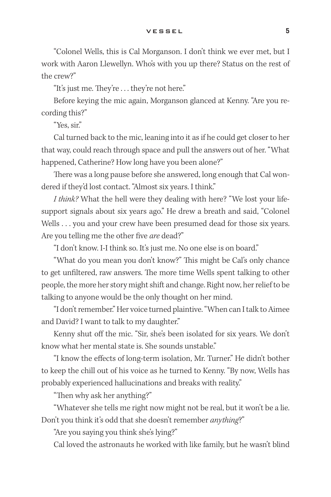## VESSEL **5**

"Colonel Wells, this is Cal Morganson. I don't think we ever met, but I work with Aaron Llewellyn. Who's with you up there? Status on the rest of the crew?"

"It's just me. They're . . . they're not here."

Before keying the mic again, Morganson glanced at Kenny. "Are you recording this?"

"Yes, sir."

Cal turned back to the mic, leaning into it as if he could get closer to her that way, could reach through space and pull the answers out of her. "What happened, Catherine? How long have you been alone?"

There was a long pause before she answered, long enough that Cal wondered if they'd lost contact. "Almost six years. I think."

*I think?* What the hell were they dealing with here? "We lost your lifesupport signals about six years ago." He drew a breath and said, "Colonel Wells . . . you and your crew have been presumed dead for those six years. Are you telling me the other five *are* dead?"

"I don't know. I-I think so. It's just me. No one else is on board."

"What do you mean you don't know?" This might be Cal's only chance to get unfiltered, raw answers. The more time Wells spent talking to other people, the more her story might shift and change. Right now, her relief to be talking to anyone would be the only thought on her mind.

"I don't remember." Her voice turned plaintive. "When can I talk to Aimee and David? I want to talk to my daughter."

Kenny shut off the mic. "Sir, she's been isolated for six years. We don't know what her mental state is. She sounds unstable."

"I know the effects of long-term isolation, Mr. Turner." He didn't bother to keep the chill out of his voice as he turned to Kenny. "By now, Wells has probably experienced hallucinations and breaks with reality."

"Then why ask her anything?"

"Whatever she tells me right now might not be real, but it won't be a lie. Don't you think it's odd that she doesn't remember *anything*?"

"Are you saying you think she's lying?"

Cal loved the astronauts he worked with like family, but he wasn't blind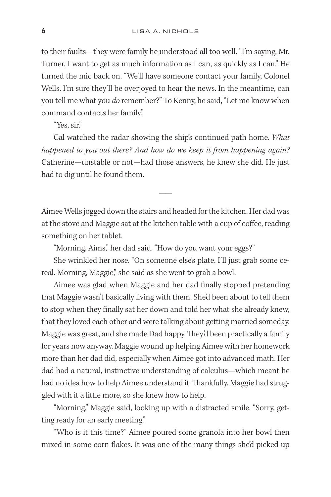to their faults—they were family he understood all too well. "I'm saying, Mr. Turner, I want to get as much information as I can, as quickly as I can." He turned the mic back on. "We'll have someone contact your family, Colonel Wells. I'm sure they'll be overjoyed to hear the news. In the meantime, can you tell me what you *do* remember?" To Kenny, he said, "Let me know when command contacts her family."

"Yes, sir."

Cal watched the radar showing the ship's continued path home. *What happened to you out there? And how do we keep it from happening again?* Catherine—unstable or not—had those answers, he knew she did. He just had to dig until he found them.

Aimee Wells jogged down the stairs and headed for the kitchen. Her dad was at the stove and Maggie sat at the kitchen table with a cup of coffee, reading something on her tablet.

——

"Morning, Aims," her dad said. "How do you want your eggs?"

She wrinkled her nose. "On someone else's plate. I'll just grab some cereal. Morning, Maggie," she said as she went to grab a bowl.

Aimee was glad when Maggie and her dad finally stopped pretending that Maggie wasn't basically living with them. She'd been about to tell them to stop when they finally sat her down and told her what she already knew, that they loved each other and were talking about getting married someday. Maggie was great, and she made Dad happy. They'd been practically a family for years now anyway. Maggie wound up helping Aimee with her homework more than her dad did, especially when Aimee got into advanced math. Her dad had a natural, instinctive understanding of calculus—which meant he had no idea how to help Aimee understand it. Thankfully, Maggie had struggled with it a little more, so she knew how to help.

"Morning," Maggie said, looking up with a distracted smile. "Sorry, getting ready for an early meeting."

"Who is it this time?" Aimee poured some granola into her bowl then mixed in some corn flakes. It was one of the many things she'd picked up